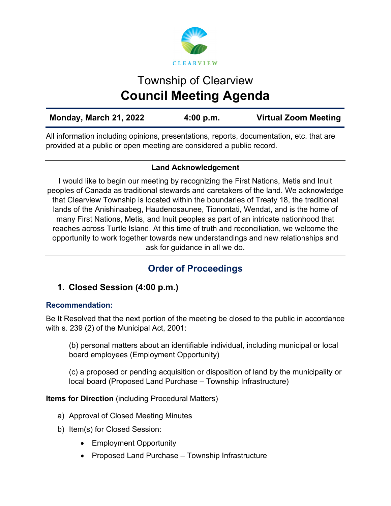

# Township of Clearview **Council Meeting Agenda**

| Monday, March 21, 2022 | 4:00 p.m. | <b>Virtual Zoom Meeting</b> |
|------------------------|-----------|-----------------------------|
|                        |           |                             |

All information including opinions, presentations, reports, documentation, etc. that are provided at a public or open meeting are considered a public record.

## **Land Acknowledgement**

I would like to begin our meeting by recognizing the First Nations, Metis and Inuit peoples of Canada as traditional stewards and caretakers of the land. We acknowledge that Clearview Township is located within the boundaries of Treaty 18, the traditional lands of the Anishinaabeg, Haudenosaunee, Tionontati, Wendat, and is the home of many First Nations, Metis, and Inuit peoples as part of an intricate nationhood that reaches across Turtle Island. At this time of truth and reconciliation, we welcome the opportunity to work together towards new understandings and new relationships and ask for guidance in all we do.

# **Order of Proceedings**

# **1. Closed Session (4:00 p.m.)**

## **Recommendation:**

Be It Resolved that the next portion of the meeting be closed to the public in accordance with s. 239 (2) of the Municipal Act, 2001:

(b) personal matters about an identifiable individual, including municipal or local board employees (Employment Opportunity)

(c) a proposed or pending acquisition or disposition of land by the municipality or local board (Proposed Land Purchase – Township Infrastructure)

**Items for Direction** (including Procedural Matters)

- a) Approval of Closed Meeting Minutes
- b) Item(s) for Closed Session:
	- Employment Opportunity
	- Proposed Land Purchase Township Infrastructure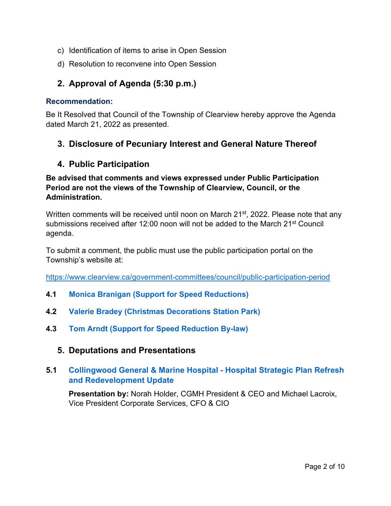- c) Identification of items to arise in Open Session
- d) Resolution to reconvene into Open Session

# **2. Approval of Agenda (5:30 p.m.)**

#### **Recommendation:**

Be It Resolved that Council of the Township of Clearview hereby approve the Agenda dated March 21, 2022 as presented.

## **3. Disclosure of Pecuniary Interest and General Nature Thereof**

## **4. Public Participation**

#### **Be advised that comments and views expressed under Public Participation Period are not the views of the Township of Clearview, Council, or the Administration.**

Written comments will be received until noon on March 21<sup>st</sup>, 2022. Please note that any submissions received after 12:00 noon will not be added to the March 21<sup>st</sup> Council agenda.

To submit a comment, the public must use the public participation portal on the Township's website at:

<https://www.clearview.ca/government-committees/council/public-participation-period>

- **4.1 [Monica Branigan \(Support for Speed Reductions\)](https://www.clearview.ca/sites/default/files/uploads/publications/4.1_monica_branigan_support_for_speed_reductions.pdf)**
- **4.2 [Valerie Bradey \(Christmas Decorations Station Park\)](https://www.clearview.ca/sites/default/files/uploads/publications/4.2_valerie_bradey_christmas_decorations_station_park.pdf)**
- **4.3 [Tom Arndt \(Support for Speed Reduction By-law\)](https://www.clearview.ca/sites/default/files/uploads/publications/4.3_tom_arndt_support_for_speed_reduction_by-law.pdf)**
	- **5. Deputations and Presentations**

## **5.1 [Collingwood General & Marine Hospital - Hospital Strategic Plan Refresh](https://www.clearview.ca/sites/default/files/uploads/publications/5.1_cgmh_-_hospital_strategic_plan_refresh_and_redevelopment_update_0.pdf)  [and Redevelopment Update](https://www.clearview.ca/sites/default/files/uploads/publications/5.1_cgmh_-_hospital_strategic_plan_refresh_and_redevelopment_update_0.pdf)**

**Presentation by:** Norah Holder, CGMH President & CEO and Michael Lacroix, Vice President Corporate Services, CFO & CIO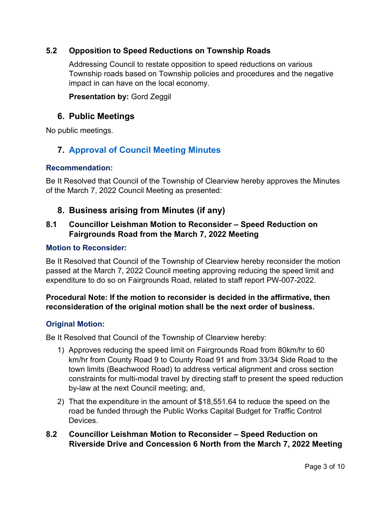## **5.2 Opposition to Speed Reductions on Township Roads**

Addressing Council to restate opposition to speed reductions on various Township roads based on Township policies and procedures and the negative impact in can have on the local economy.

**Presentation by:** Gord Zeggil

## **6. Public Meetings**

No public meetings.

# **7. [Approval of Council Meeting Minutes](https://www.clearview.ca/sites/default/files/uploads/publications/2022-03-07_council_meeting_minutes.pdf)**

#### **Recommendation:**

Be It Resolved that Council of the Township of Clearview hereby approves the Minutes of the March 7, 2022 Council Meeting as presented:

## **8. Business arising from Minutes (if any)**

## **8.1 Councillor Leishman Motion to Reconsider – Speed Reduction on Fairgrounds Road from the March 7, 2022 Meeting**

#### **Motion to Reconsider:**

Be It Resolved that Council of the Township of Clearview hereby reconsider the motion passed at the March 7, 2022 Council meeting approving reducing the speed limit and expenditure to do so on Fairgrounds Road, related to staff report PW-007-2022.

## **Procedural Note: If the motion to reconsider is decided in the affirmative, then reconsideration of the original motion shall be the next order of business.**

## **Original Motion:**

Be It Resolved that Council of the Township of Clearview hereby:

- 1) Approves reducing the speed limit on Fairgrounds Road from 80km/hr to 60 km/hr from County Road 9 to County Road 91 and from 33/34 Side Road to the town limits (Beachwood Road) to address vertical alignment and cross section constraints for multi-modal travel by directing staff to present the speed reduction by-law at the next Council meeting; and,
- 2) That the expenditure in the amount of \$18,551.64 to reduce the speed on the road be funded through the Public Works Capital Budget for Traffic Control **Devices**
- **8.2 Councillor Leishman Motion to Reconsider – Speed Reduction on Riverside Drive and Concession 6 North from the March 7, 2022 Meeting**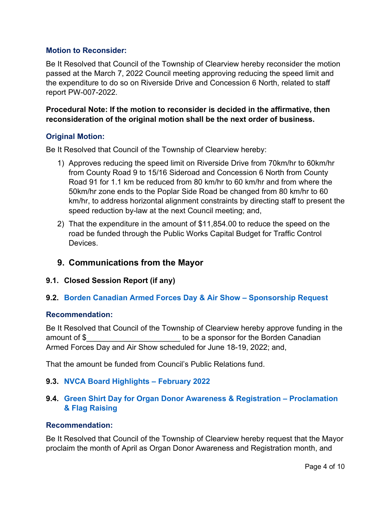#### **Motion to Reconsider:**

Be It Resolved that Council of the Township of Clearview hereby reconsider the motion passed at the March 7, 2022 Council meeting approving reducing the speed limit and the expenditure to do so on Riverside Drive and Concession 6 North, related to staff report PW-007-2022.

#### **Procedural Note: If the motion to reconsider is decided in the affirmative, then reconsideration of the original motion shall be the next order of business.**

#### **Original Motion:**

Be It Resolved that Council of the Township of Clearview hereby:

- 1) Approves reducing the speed limit on Riverside Drive from 70km/hr to 60km/hr from County Road 9 to 15/16 Sideroad and Concession 6 North from County Road 91 for 1.1 km be reduced from 80 km/hr to 60 km/hr and from where the 50km/hr zone ends to the Poplar Side Road be changed from 80 km/hr to 60 km/hr, to address horizontal alignment constraints by directing staff to present the speed reduction by-law at the next Council meeting; and,
- 2) That the expenditure in the amount of \$11,854.00 to reduce the speed on the road be funded through the Public Works Capital Budget for Traffic Control Devices.

# **9. Communications from the Mayor**

## **9.1. Closed Session Report (if any)**

## **9.2. [Borden Canadian Armed Forces Day & Air Show –](https://www.clearview.ca/sites/default/files/uploads/publications/9.2_cfb_base_borden_air_show_-_2022_sponsorship_program.pdf) Sponsorship Request**

#### **Recommendation:**

Be It Resolved that Council of the Township of Clearview hereby approve funding in the amount of \$ example a sponsor for the Borden Canadian Armed Forces Day and Air Show scheduled for June 18-19, 2022; and,

That the amount be funded from Council's Public Relations fund.

## **9.3. [NVCA Board Highlights –](https://www.clearview.ca/sites/default/files/uploads/publications/9.3_nvca_board_highlights_-_february_2022.pdf) February 2022**

## **9.4. [Green Shirt Day for Organ Donor Awareness](https://greenshirtday.ca/about/) & Registration – Proclamation [& Flag Raising](https://greenshirtday.ca/about/)**

#### **Recommendation:**

Be It Resolved that Council of the Township of Clearview hereby request that the Mayor proclaim the month of April as Organ Donor Awareness and Registration month, and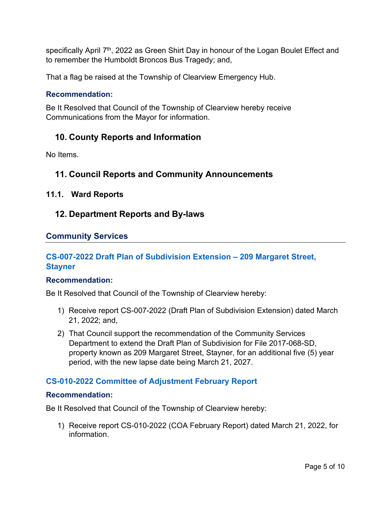specifically April  $7<sup>th</sup>$ , 2022 as Green Shirt Day in honour of the Logan Boulet Effect and to remember the Humboldt Broncos Bus Tragedy; and,

That a flag be raised at the Township of Clearview Emergency Hub.

#### **Recommendation:**

Be It Resolved that Council of the Township of Clearview hereby receive Communications from the Mayor for information.

# **10. County Reports and Information**

No Items.

# **11. Council Reports and Community Announcements**

#### **11.1. Ward Reports**

## **12. Department Reports and By-laws**

## **Community Services**

## **[CS-007-2022 Draft Plan of Subdivision Extension – 209 Margaret Street,](https://www.clearview.ca/sites/default/files/uploads/publications/cs-007-2022_draft_plan_of_subdivision_extension_-_209_margaret_street.pdf)  [Stayner](https://www.clearview.ca/sites/default/files/uploads/publications/cs-007-2022_draft_plan_of_subdivision_extension_-_209_margaret_street.pdf)**

#### **Recommendation:**

Be It Resolved that Council of the Township of Clearview hereby:

- 1) Receive report CS-007-2022 (Draft Plan of Subdivision Extension) dated March 21, 2022; and,
- 2) That Council support the recommendation of the Community Services Department to extend the Draft Plan of Subdivision for File 2017-068-SD, property known as 209 Margaret Street, Stayner, for an additional five (5) year period, with the new lapse date being March 21, 2027.

#### **[CS-010-2022 Committee of Adjustment February Report](https://www.clearview.ca/sites/default/files/uploads/publications/cs-010-2022_february_2022_coa_report.pdf)**

#### **Recommendation:**

Be It Resolved that Council of the Township of Clearview hereby:

1) Receive report CS-010-2022 (COA February Report) dated March 21, 2022, for information.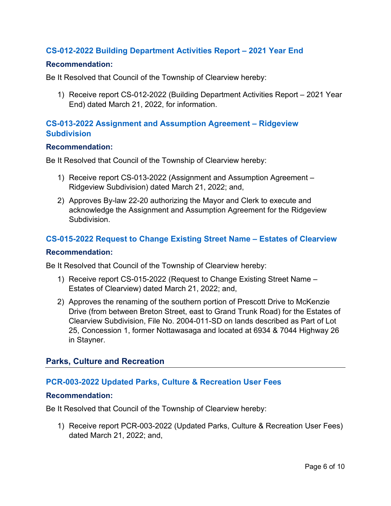#### **[CS-012-2022 Building Department Activities Report – 2021 Year End](https://www.clearview.ca/sites/default/files/uploads/publications/cs-012-2022_building_department_activities_report_year_end_2021.pdf)**

#### **Recommendation:**

Be It Resolved that Council of the Township of Clearview hereby:

1) Receive report CS-012-2022 (Building Department Activities Report – 2021 Year End) dated March 21, 2022, for information.

#### **[CS-013-2022 Assignment and Assumption Agreement – Ridgeview](https://www.clearview.ca/sites/default/files/uploads/publications/cs-013-2022_ridgeview_subdivision_assignment_and_assumption_agreement.pdf)  [Subdivision](https://www.clearview.ca/sites/default/files/uploads/publications/cs-013-2022_ridgeview_subdivision_assignment_and_assumption_agreement.pdf)**

#### **Recommendation:**

Be It Resolved that Council of the Township of Clearview hereby:

- 1) Receive report CS-013-2022 (Assignment and Assumption Agreement Ridgeview Subdivision) dated March 21, 2022; and,
- 2) Approves By-law 22-20 authorizing the Mayor and Clerk to execute and acknowledge the Assignment and Assumption Agreement for the Ridgeview **Subdivision**

## **[CS-015-2022 Request to Change Existing Street Name – Estates of Clearview](https://www.clearview.ca/sites/default/files/uploads/publications/cs-015-2022_nottawasaga_station_-_street_name_change_request.pdf)**

#### **Recommendation:**

Be It Resolved that Council of the Township of Clearview hereby:

- 1) Receive report CS-015-2022 (Request to Change Existing Street Name Estates of Clearview) dated March 21, 2022; and,
- 2) Approves the renaming of the southern portion of Prescott Drive to McKenzie Drive (from between Breton Street, east to Grand Trunk Road) for the Estates of Clearview Subdivision, File No. 2004-011-SD on lands described as Part of Lot 25, Concession 1, former Nottawasaga and located at 6934 & 7044 Highway 26 in Stayner.

## **Parks, Culture and Recreation**

## **[PCR-003-2022 Updated Parks, Culture & Recreation User Fees](https://www.clearview.ca/sites/default/files/uploads/publications/pcr-003-2022_updated_parks_culture_recreation_user_fees.pdf)**

#### **Recommendation:**

Be It Resolved that Council of the Township of Clearview hereby:

1) Receive report PCR-003-2022 (Updated Parks, Culture & Recreation User Fees) dated March 21, 2022; and,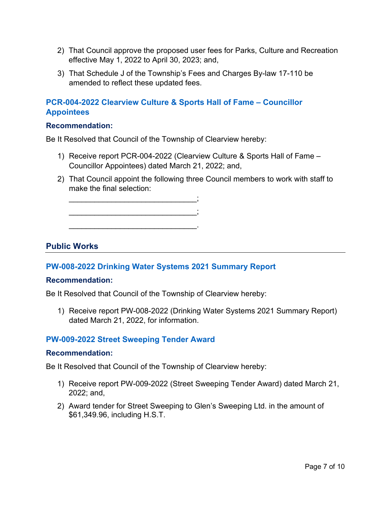- 2) That Council approve the proposed user fees for Parks, Culture and Recreation effective May 1, 2022 to April 30, 2023; and,
- 3) That Schedule J of the Township's Fees and Charges By-law 17-110 be amended to reflect these updated fees.

## **[PCR-004-2022 Clearview Culture & Sports Hall of Fame – Councillor](https://www.clearview.ca/sites/default/files/uploads/publications/pcr-004-2022_hall_of_fame_councillor_appointees.pdf)  [Appointees](https://www.clearview.ca/sites/default/files/uploads/publications/pcr-004-2022_hall_of_fame_councillor_appointees.pdf)**

#### **Recommendation:**

Be It Resolved that Council of the Township of Clearview hereby:

- 1) Receive report PCR-004-2022 (Clearview Culture & Sports Hall of Fame Councillor Appointees) dated March 21, 2022; and,
- 2) That Council appoint the following three Council members to work with staff to make the final selection:

\_\_\_\_\_\_\_\_\_\_\_\_\_\_\_\_\_\_\_\_\_\_\_\_\_\_\_\_\_\_;

\_\_\_\_\_\_\_\_\_\_\_\_\_\_\_\_\_\_\_\_\_\_\_\_\_\_\_\_\_\_.

\_\_\_\_\_\_\_\_\_\_\_\_\_\_\_\_\_\_\_\_\_\_\_\_\_\_\_\_\_\_;

## **Public Works**

## **[PW-008-2022 Drinking Water Systems 2021 Summary Report](https://www.clearview.ca/sites/default/files/uploads/publications/pw-008-2022_drinking_water_systems_2021_summary_report.pdf)**

#### **Recommendation:**

Be It Resolved that Council of the Township of Clearview hereby:

1) Receive report PW-008-2022 (Drinking Water Systems 2021 Summary Report) dated March 21, 2022, for information.

#### **[PW-009-2022 Street Sweeping Tender Award](https://www.clearview.ca/sites/default/files/uploads/publications/pw-009-2022_street_sweeping_tender_award.pdf)**

#### **Recommendation:**

Be It Resolved that Council of the Township of Clearview hereby:

- 1) Receive report PW-009-2022 (Street Sweeping Tender Award) dated March 21, 2022; and,
- 2) Award tender for Street Sweeping to Glen's Sweeping Ltd. in the amount of \$61,349.96, including H.S.T.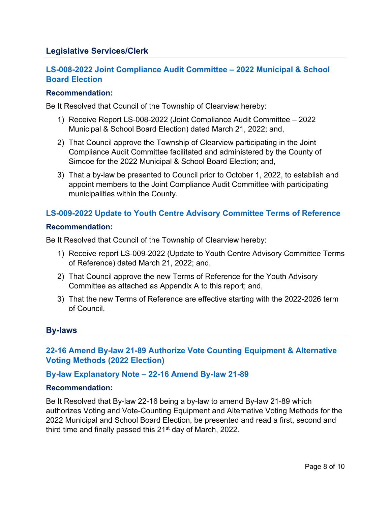## **Legislative Services/Clerk**

# **[LS-008-2022 Joint Compliance Audit Committee – 2022 Municipal & School](https://www.clearview.ca/sites/default/files/uploads/publications/ls-008-2022_joint_compliance_audit_committee_-_2022_municipal_election.pdf)  [Board Election](https://www.clearview.ca/sites/default/files/uploads/publications/ls-008-2022_joint_compliance_audit_committee_-_2022_municipal_election.pdf)**

#### **Recommendation:**

Be It Resolved that Council of the Township of Clearview hereby:

- 1) Receive Report LS-008-2022 (Joint Compliance Audit Committee 2022 Municipal & School Board Election) dated March 21, 2022; and,
- 2) That Council approve the Township of Clearview participating in the Joint Compliance Audit Committee facilitated and administered by the County of Simcoe for the 2022 Municipal & School Board Election; and,
- 3) That a by-law be presented to Council prior to October 1, 2022, to establish and appoint members to the Joint Compliance Audit Committee with participating municipalities within the County.

## **[LS-009-2022 Update to Youth Centre Advisory Committee Terms of Reference](https://www.clearview.ca/sites/default/files/uploads/publications/ls-009-2022_update_to_youth_centre_advisory_committee_terms_of_reference.pdf)**

#### **Recommendation:**

Be It Resolved that Council of the Township of Clearview hereby:

- 1) Receive report LS-009-2022 (Update to Youth Centre Advisory Committee Terms of Reference) dated March 21, 2022; and,
- 2) That Council approve the new Terms of Reference for the Youth Advisory Committee as attached as Appendix A to this report; and,
- 3) That the new Terms of Reference are effective starting with the 2022-2026 term of Council.

#### **By-laws**

## **[22-16 Amend By-law 21-89 Authorize Vote Counting Equipment & Alternative](https://www.clearview.ca/sites/default/files/uploads/publications/22-16_amend_by-law_21-89_authorize_vote_counting_equipment_alternative_voting_methods_2022_election.pdf)  [Voting Methods \(2022 Election\)](https://www.clearview.ca/sites/default/files/uploads/publications/22-16_amend_by-law_21-89_authorize_vote_counting_equipment_alternative_voting_methods_2022_election.pdf)**

#### **[By-law Explanatory Note – 22-16 Amend By-law 21-89](https://www.clearview.ca/sites/default/files/uploads/publications/22-16_by-law_explanatory_note_-_amend_by-law_21-89_alternative_voting_methods.pdf)**

#### **Recommendation:**

Be It Resolved that By-law 22-16 being a by-law to amend By-law 21-89 which authorizes Voting and Vote-Counting Equipment and Alternative Voting Methods for the 2022 Municipal and School Board Election, be presented and read a first, second and third time and finally passed this 21<sup>st</sup> day of March, 2022.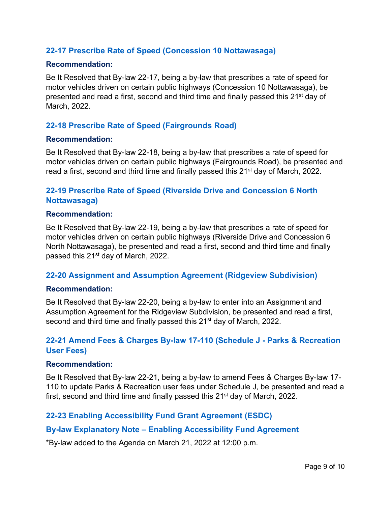#### **[22-17 Prescribe Rate of Speed \(Concession 10 Nottawasaga\)](https://www.clearview.ca/sites/default/files/uploads/publications/22-17_prescribe_rate_of_speed_concession_10_nottawasaga.pdf)**

#### **Recommendation:**

Be It Resolved that By-law 22-17, being a by-law that prescribes a rate of speed for motor vehicles driven on certain public highways (Concession 10 Nottawasaga), be presented and read a first, second and third time and finally passed this 21st day of March, 2022.

#### **[22-18 Prescribe Rate of Speed \(Fairgrounds Road\)](https://www.clearview.ca/sites/default/files/uploads/publications/22-18_prescribe_rate_of_speed_fairgrounds_road_0.pdf)**

#### **Recommendation:**

Be It Resolved that By-law 22-18, being a by-law that prescribes a rate of speed for motor vehicles driven on certain public highways (Fairgrounds Road), be presented and read a first, second and third time and finally passed this  $21<sup>st</sup>$  day of March, 2022.

## **[22-19 Prescribe Rate of Speed \(Riverside Drive and Concession 6 North](https://www.clearview.ca/sites/default/files/uploads/publications/22-19_prescribe_rate_of_speed_riverside_drive_and_concession_6_north.pdf)  [Nottawasaga\)](https://www.clearview.ca/sites/default/files/uploads/publications/22-19_prescribe_rate_of_speed_riverside_drive_and_concession_6_north.pdf)**

#### **Recommendation:**

Be It Resolved that By-law 22-19, being a by-law that prescribes a rate of speed for motor vehicles driven on certain public highways (Riverside Drive and Concession 6 North Nottawasaga), be presented and read a first, second and third time and finally passed this 21<sup>st</sup> day of March, 2022.

#### **22-20 [Assignment and Assumption Agreement \(Ridgeview Subdivision\)](https://www.clearview.ca/sites/default/files/uploads/publications/22-20_assignment_assumption_agreement_ridgeview_subdivision.pdf)**

#### **Recommendation:**

Be It Resolved that By-law 22-20, being a by-law to enter into an Assignment and Assumption Agreement for the Ridgeview Subdivision, be presented and read a first, second and third time and finally passed this 21<sup>st</sup> day of March, 2022.

## **[22-21 Amend Fees & Charges By-law 17-110 \(Schedule J -](https://www.clearview.ca/sites/default/files/uploads/publications/22-21_amend_fees_charges_by-law_17-110_schedule_j.pdf) Parks & Recreation [User Fees\)](https://www.clearview.ca/sites/default/files/uploads/publications/22-21_amend_fees_charges_by-law_17-110_schedule_j.pdf)**

#### **Recommendation:**

Be It Resolved that By-law 22-21, being a by-law to amend Fees & Charges By-law 17- 110 to update Parks & Recreation user fees under Schedule J, be presented and read a first, second and third time and finally passed this  $21<sup>st</sup>$  day of March, 2022.

#### **[22-23 Enabling Accessibility Fund Grant Agreement \(ESDC\)](https://www.clearview.ca/sites/default/files/uploads/publications/22-23_enabling_accessibility_fund_grant_agreement_esdc_0.pdf)**

#### **By-law Explanatory Note – [Enabling Accessibility Fund Agreement](https://www.clearview.ca/sites/default/files/uploads/publications/22-23_by-law_explanatory_note_-_enabling_accessibility_fund_grant_agreement_esdc.pdf)**

\*By-law added to the Agenda on March 21, 2022 at 12:00 p.m.